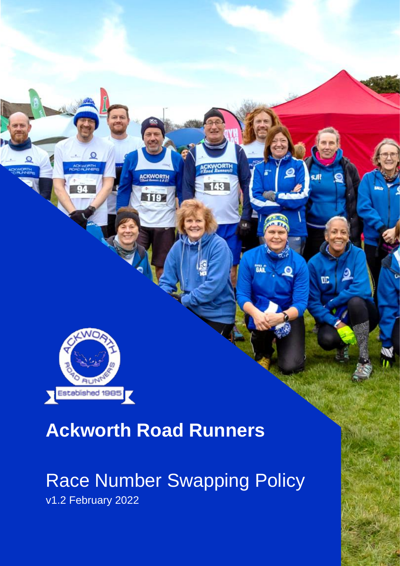

## **Ackworth Road Runners**

**ACKWORTH** 

143

**GAL** 

<u>,o</u>

DC<sub>1</sub>

## Race Number Swapping Policy

v1.2 February 2022